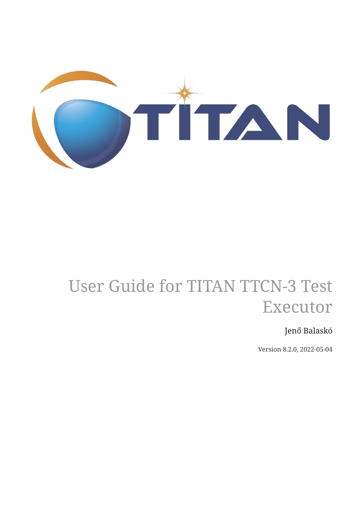

# User Guide for TITAN TTCN-3 Test Executor

## Jenő Balaskó

Version 8.2.0, 2022-05-04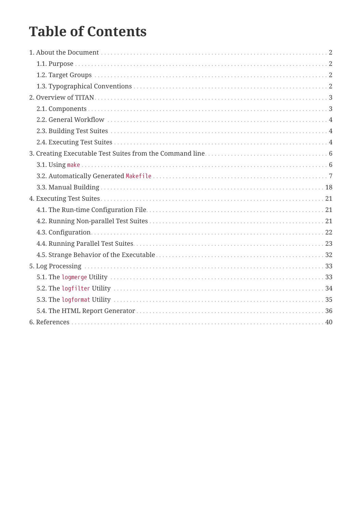# **Table of Contents**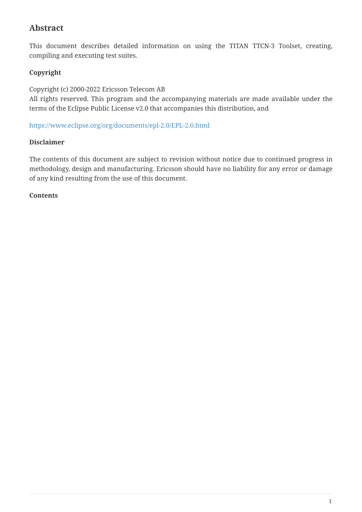### **Abstract**

This document describes detailed information on using the TITAN TTCN-3 Toolset, creating, compiling and executing test suites.

### **Copyright**

Copyright (c) 2000-2022 Ericsson Telecom AB

All rights reserved. This program and the accompanying materials are made available under the terms of the Eclipse Public License v2.0 that accompanies this distribution, and

<https://www.eclipse.org/org/documents/epl-2.0/EPL-2.0.html>

#### **Disclaimer**

The contents of this document are subject to revision without notice due to continued progress in methodology, design and manufacturing. Ericsson should have no liability for any error or damage of any kind resulting from the use of this document.

#### **Contents**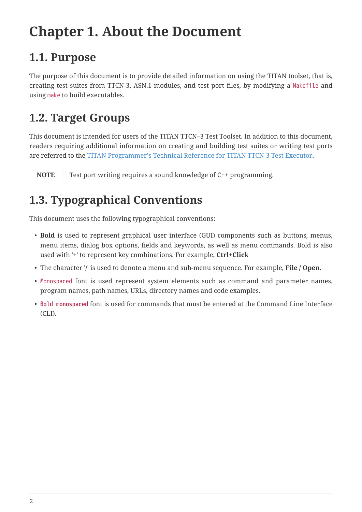# <span id="page-3-0"></span>**Chapter 1. About the Document**

## <span id="page-3-1"></span>**1.1. Purpose**

The purpose of this document is to provide detailed information on using the TITAN toolset, that is, creating test suites from TTCN-3, ASN.1 modules, and test port files, by modifying a Makefile and using make to build executables.

## <span id="page-3-2"></span>**1.2. Target Groups**

This document is intended for users of the TITAN TTCN–3 Test Toolset. In addition to this document, readers requiring additional information on creating and building test suites or writing test ports are referred to the [TITAN Programmer's Technical Reference for TITAN TTCN-3 Test Executor.](https://gitlab.eclipse.org/eclipse/titan/titan.core/tree/master/usrguide/referenceguide)

**NOTE** Test port writing requires a sound knowledge of C++ programming.

## <span id="page-3-3"></span>**1.3. Typographical Conventions**

This document uses the following typographical conventions:

- **Bold** is used to represent graphical user interface (GUI) components such as buttons, menus, menu items, dialog box options, fields and keywords, as well as menu commands. Bold is also used with '+' to represent key combinations. For example, **Ctrl+Click**
- The character '**/**' is used to denote a menu and sub-menu sequence. For example, **File / Open**.
- Monospaced font is used represent system elements such as command and parameter names, program names, path names, URLs, directory names and code examples.
- **Bold monospaced** font is used for commands that must be entered at the Command Line Interface (CLI).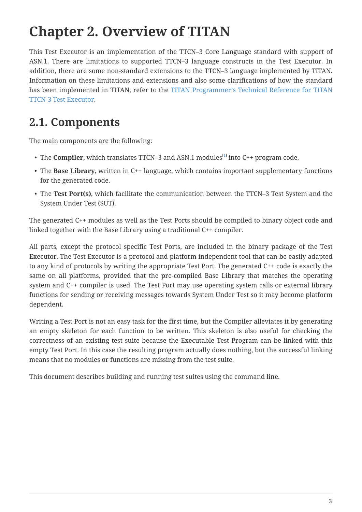# <span id="page-4-0"></span>**Chapter 2. Overview of TITAN**

This Test Executor is an implementation of the TTCN–3 Core Language standard with support of ASN.1. There are limitations to supported TTCN–3 language constructs in the Test Executor. In addition, there are some non-standard extensions to the TTCN–3 language implemented by TITAN. Information on these limitations and extensions and also some clarifications of how the standard has been implemented in TITAN, refer to the [TITAN Programmer's Technical Reference for TITAN](https://gitlab.eclipse.org/eclipse/titan/titan.core/tree/master/usrguide/referenceguide) [TTCN-3 Test Executor.](https://gitlab.eclipse.org/eclipse/titan/titan.core/tree/master/usrguide/referenceguide)

## <span id="page-4-1"></span>**2.1. Components**

The main components are the following:

- <span id="page-4-2"></span> $\bullet\,$  The  $\,$  Compiler, which translates TTCN–3 and ASN.[1](#page-6-0) modules $^{[1]}$  into C++ program code.
- The **Base Library**, written in C++ language, which contains important supplementary functions for the generated code.
- The **Test Port(s)**, which facilitate the communication between the TTCN–3 Test System and the System Under Test (SUT).

The generated C++ modules as well as the Test Ports should be compiled to binary object code and linked together with the Base Library using a traditional C++ compiler.

All parts, except the protocol specific Test Ports, are included in the binary package of the Test Executor. The Test Executor is a protocol and platform independent tool that can be easily adapted to any kind of protocols by writing the appropriate Test Port. The generated C++ code is exactly the same on all platforms, provided that the pre-compiled Base Library that matches the operating system and C++ compiler is used. The Test Port may use operating system calls or external library functions for sending or receiving messages towards System Under Test so it may become platform dependent.

Writing a Test Port is not an easy task for the first time, but the Compiler alleviates it by generating an empty skeleton for each function to be written. This skeleton is also useful for checking the correctness of an existing test suite because the Executable Test Program can be linked with this empty Test Port. In this case the resulting program actually does nothing, but the successful linking means that no modules or functions are missing from the test suite.

This document describes building and running test suites using the command line.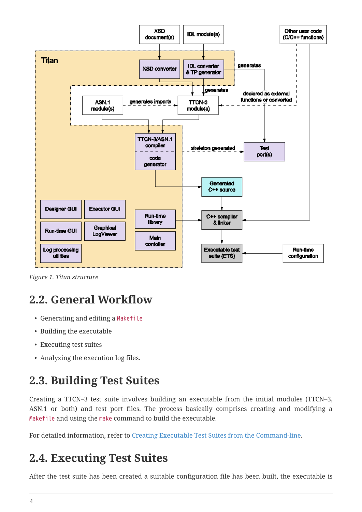

*Figure 1. Titan structure*

## <span id="page-5-0"></span>**2.2. General Workflow**

- Generating and editing a Makefile
- Building the executable
- Executing test suites
- Analyzing the execution log files.

## <span id="page-5-1"></span>**2.3. Building Test Suites**

Creating a TTCN–3 test suite involves building an executable from the initial modules (TTCN–3, ASN.1 or both) and test port files. The process basically comprises creating and modifying a Makefile and using the make command to build the executable.

For detailed information, refer to [Creating Executable Test Suites from the Command-line.](#page-7-0)

## <span id="page-5-2"></span>**2.4. Executing Test Suites**

After the test suite has been created a suitable configuration file has been built, the executable is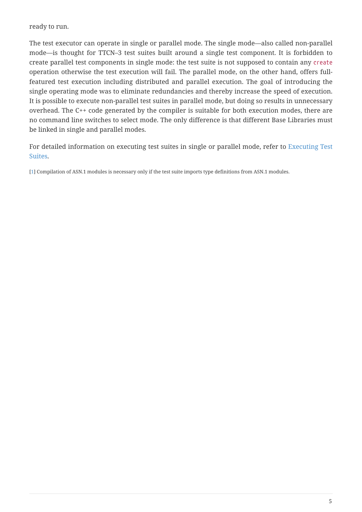ready to run.

The test executor can operate in single or parallel mode. The single mode—also called non-parallel mode—is thought for TTCN–3 test suites built around a single test component. It is forbidden to create parallel test components in single mode: the test suite is not supposed to contain any create operation otherwise the test execution will fail. The parallel mode, on the other hand, offers fullfeatured test execution including distributed and parallel execution. The goal of introducing the single operating mode was to eliminate redundancies and thereby increase the speed of execution. It is possible to execute non-parallel test suites in parallel mode, but doing so results in unnecessary overhead. The C++ code generated by the compiler is suitable for both execution modes, there are no command line switches to select mode. The only difference is that different Base Libraries must be linked in single and parallel modes.

For detailed information on executing test suites in single or parallel mode, refer to [Executing Test](#page-22-0) [Suites.](#page-22-0)

<span id="page-6-0"></span>[\[1\]](#page-4-2) Compilation of ASN.1 modules is necessary only if the test suite imports type definitions from ASN.1 modules.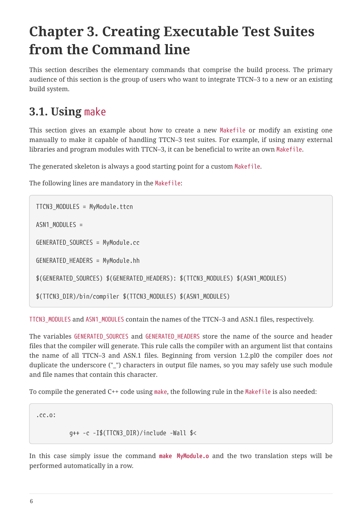# <span id="page-7-0"></span>**Chapter 3. Creating Executable Test Suites from the Command line**

This section describes the elementary commands that comprise the build process. The primary audience of this section is the group of users who want to integrate TTCN–3 to a new or an existing build system.

## <span id="page-7-1"></span>**3.1. Using** make

This section gives an example about how to create a new Makefile or modify an existing one manually to make it capable of handling TTCN–3 test suites. For example, if using many external libraries and program modules with TTCN–3, it can be beneficial to write an own Makefile.

The generated skeleton is always a good starting point for a custom Makefile.

The following lines are mandatory in the Makefile:

```
TTCN3_MODULES = MyModule.ttcn
ASN1_MODULES =
GENERATED_SOURCES = MyModule.cc
GENERATED_HEADERS = MyModule.hh
$(GENERATED_SOURCES) $(GENERATED_HEADERS): $(TTCN3_MODULES) $(ASN1_MODULES)
$(TTCN3_DIR)/bin/compiler $(TTCN3_MODULES) $(ASN1_MODULES)
```
TTCN3\_MODULES and ASN1\_MODULES contain the names of the TTCN–3 and ASN.1 files, respectively.

The variables GENERATED SOURCES and GENERATED HEADERS store the name of the source and header files that the compiler will generate. This rule calls the compiler with an argument list that contains the name of all TTCN–3 and ASN.1 files. Beginning from version 1.2.pl0 the compiler does *not* duplicate the underscore ("\_") characters in output file names, so you may safely use such module and file names that contain this character.

To compile the generated C++ code using make, the following rule in the Makefile is also needed:

.cc.o:

g++ -c -I\$(TTCN3\_DIR)/include -Wall \$<

In this case simply issue the command **make MyModule.o** and the two translation steps will be performed automatically in a row.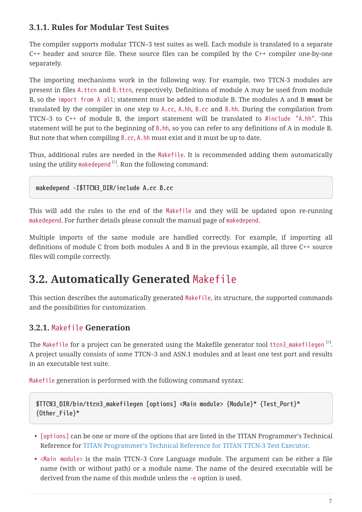### **3.1.1. Rules for Modular Test Suites**

The compiler supports modular TTCN–3 test suites as well. Each module is translated to a separate C++ header and source file. These source files can be compiled by the C++ compiler one-by-one separately.

The importing mechanisms work in the following way. For example, two TTCN-3 modules are present in files A.ttcn and B.ttcn, respectively. Definitions of module A may be used from module B, so the import from A all; statement must be added to module B. The modules A and B **must** be translated by the compiler in one step to A.cc, A.hh, B.cc and B.hh. During the compilation from TTCN–3 to C++ of module B, the import statement will be translated to #include "A.hh". This statement will be put to the beginning of B.hh, so you can refer to any definitions of A in module B. But note that when compiling B.cc, A.hh must exist and it must be up to date.

Thus, additional rules are needed in the Makefile. It is recommended adding them automatically using the utility makedepend <sup>[[2](#page-21-0)]</sup>. Run the following command:

<span id="page-8-1"></span>**makedepend -I\$TTCN3\_DIR/include A.cc B.cc**

This will add the rules to the end of the Makefile and they will be updated upon re-running makedepend. For further details please consult the manual page of makedepend.

Multiple imports of the same module are handled correctly. For example, if importing all definitions of module C from both modules A and B in the previous example, all three C++ source files will compile correctly.

## <span id="page-8-0"></span>**3.2. Automatically Generated** Makefile

This section describes the automatically generated Makefile, its structure, the supported commands and the possibilities for customization.

### **3.2.1.** Makefile **Generation**

The Makefile for a project can be generated using the Makefile generator tool ttcn[3](#page-21-1)\_makefilegen  $^{\text{\tiny{[3]}}}$ . A project usually consists of some TTCN–3 and ASN.1 modules and at least one test port and results in an executable test suite.

Makefile generation is performed with the following command syntax:

```
$TTCN3_DIR/bin/ttcn3_makefilegen [options] <Main module> {Module}* {Test_Port}*
{Other_File}*
```
- [options] can be one or more of the options that are listed in the TITAN Programmer's Technical Reference for [TITAN Programmer's Technical Reference for TITAN TTCN-3 Test Executor](https://gitlab.eclipse.org/eclipse/titan/titan.core/tree/master/usrguide/referenceguide).
- <Main module> is the main TTCN–3 Core Language module. The argument can be either a file name (with or without path) or a module name. The name of the desired executable will be derived from the name of this module unless the -e option is used.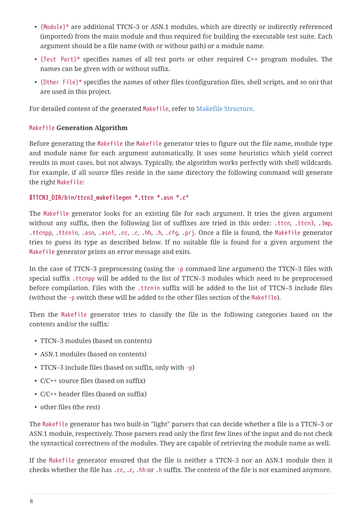- {Module}\* are additional TTCN–3 or ASN.1 modules, which are directly or indirectly referenced (imported) from the main module and thus required for building the executable test suite. Each argument should be a file name (with or without path) or a module name.
- {Test Port}\* specifies names of all test ports or other required C++ program modules. The names can be given with or without suffix.
- {Other File}\* specifies the names of other files (configuration files, shell scripts, and so on) that are used in this project.

For detailed content of the generated Makefile, refer to [Makefile Structure](#page-12-0).

#### Makefile **Generation Algorithm**

Before generating the Makefile the Makefile generator tries to figure out the file name, module type and module name for each argument automatically. It uses some heuristics which yield correct results in most cases, but not always. Typically, the algorithm works perfectly with shell wildcards. For example, if all source files reside in the same directory the following command will generate the right Makefile:

#### **\$TTCN3\_DIR/bin/ttcn3\_makefilegen \*.ttcn \*.asn \*.c**\*

The Makefile generator looks for an existing file for each argument. It tries the given argument without any suffix, then the following list of suffixes are tried in this order: .ttcn, .ttcn3, .3mp, .ttcnpp, .ttcnin, .asn, .asn1, .cc, .c, .hh, .h, .cfg, .prj. Once a file is found, the Makefile generator tries to guess its type as described below. If no suitable file is found for a given argument the Makefile generator prints an error message and exits.

In the case of TTCN–3 preprocessing (using the -p command line argument) the TTCN–3 files with special suffix .ttcnpp will be added to the list of TTCN–3 modules which need to be preprocessed before compilation. Files with the .ttcnin suffix will be added to the list of TTCN–3 include files (without the -p switch these will be added to the other files section of the Makefile).

Then the Makefile generator tries to classify the file in the following categories based on the contents and/or the suffix:

- TTCN–3 modules (based on contents)
- ASN.1 modules (based on contents)
- TTCN–3 include files (based on suffix, only with -p)
- C/C++ source files (based on suffix)
- C/C++ header files (based on suffix)
- other files (the rest)

The Makefile generator has two built-in "light" parsers that can decide whether a file is a TTCN–3 or ASN.1 module, respectively. Those parsers read only the first few lines of the input and do not check the syntactical correctness of the modules. They are capable of retrieving the module name as well.

If the Makefile generator ensured that the file is neither a TTCN–3 nor an ASN.1 module then it checks whether the file has .cc, .c, .hh or .h suffix. The content of the file is not examined anymore.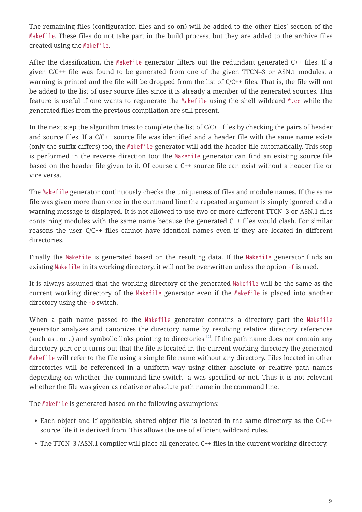The remaining files (configuration files and so on) will be added to the other files' section of the Makefile. These files do not take part in the build process, but they are added to the archive files created using the Makefile.

After the classification, the Makefile generator filters out the redundant generated C++ files. If a given C/C++ file was found to be generated from one of the given TTCN–3 or ASN.1 modules, a warning is printed and the file will be dropped from the list of C/C++ files. That is, the file will not be added to the list of user source files since it is already a member of the generated sources. This feature is useful if one wants to regenerate the Makefile using the shell wildcard \*.cc while the generated files from the previous compilation are still present.

In the next step the algorithm tries to complete the list of  $C/C++$  files by checking the pairs of header and source files. If a C/C++ source file was identified and a header file with the same name exists (only the suffix differs) too, the Makefile generator will add the header file automatically. This step is performed in the reverse direction too: the Makefile generator can find an existing source file based on the header file given to it. Of course a C++ source file can exist without a header file or vice versa.

The Makefile generator continuously checks the uniqueness of files and module names. If the same file was given more than once in the command line the repeated argument is simply ignored and a warning message is displayed. It is not allowed to use two or more different TTCN–3 or ASN.1 files containing modules with the same name because the generated C++ files would clash. For similar reasons the user C/C++ files cannot have identical names even if they are located in different directories.

Finally the Makefile is generated based on the resulting data. If the Makefile generator finds an existing Makefile in its working directory, it will not be overwritten unless the option -f is used.

It is always assumed that the working directory of the generated Makefile will be the same as the current working directory of the Makefile generator even if the Makefile is placed into another directory using the -o switch.

<span id="page-10-0"></span>When a path name passed to the Makefile generator contains a directory part the Makefile generator analyzes and canonizes the directory name by resolving relative directory references (such as . or ..) and symbolic links pointing to directories  $^{[4]}$  $^{[4]}$  $^{[4]}$ . If the path name does not contain any directory part or it turns out that the file is located in the current working directory the generated Makefile will refer to the file using a simple file name without any directory. Files located in other directories will be referenced in a uniform way using either absolute or relative path names depending on whether the command line switch -a was specified or not. Thus it is not relevant whether the file was given as relative or absolute path name in the command line.

The Makefile is generated based on the following assumptions:

- Each object and if applicable, shared object file is located in the same directory as the C/C++ source file it is derived from. This allows the use of efficient wildcard rules.
- The TTCN–3 /ASN.1 compiler will place all generated C++ files in the current working directory.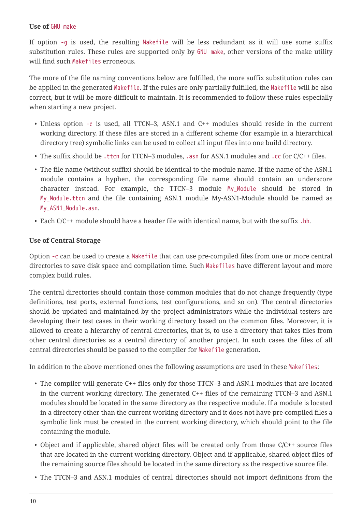#### **Use of** GNU make

If option -g is used, the resulting Makefile will be less redundant as it will use some suffix substitution rules. These rules are supported only by GNU make, other versions of the make utility will find such Makefiles erroneous.

The more of the file naming conventions below are fulfilled, the more suffix substitution rules can be applied in the generated Makefile. If the rules are only partially fulfilled, the Makefile will be also correct, but it will be more difficult to maintain. It is recommended to follow these rules especially when starting a new project.

- Unless option -c is used, all TTCN–3, ASN.1 and C++ modules should reside in the current working directory. If these files are stored in a different scheme (for example in a hierarchical directory tree) symbolic links can be used to collect all input files into one build directory.
- The suffix should be .ttcn for TTCN-3 modules, .asn for ASN.1 modules and .cc for C/C++ files.
- The file name (without suffix) should be identical to the module name. If the name of the ASN.1 module contains a hyphen, the corresponding file name should contain an underscore character instead. For example, the TTCN–3 module My\_Module should be stored in My\_Module.ttcn and the file containing ASN.1 module My-ASN1-Module should be named as My\_ASN1\_Module.asn.
- Each C/C++ module should have a header file with identical name, but with the suffix .hh.

#### **Use of Central Storage**

Option -c can be used to create a Makefile that can use pre-compiled files from one or more central directories to save disk space and compilation time. Such Makefiles have different layout and more complex build rules.

The central directories should contain those common modules that do not change frequently (type definitions, test ports, external functions, test configurations, and so on). The central directories should be updated and maintained by the project administrators while the individual testers are developing their test cases in their working directory based on the common files. Moreover, it is allowed to create a hierarchy of central directories, that is, to use a directory that takes files from other central directories as a central directory of another project. In such cases the files of all central directories should be passed to the compiler for Makefile generation.

In addition to the above mentioned ones the following assumptions are used in these Makefiles:

- The compiler will generate C++ files only for those TTCN–3 and ASN.1 modules that are located in the current working directory. The generated C++ files of the remaining TTCN–3 and ASN.1 modules should be located in the same directory as the respective module. If a module is located in a directory other than the current working directory and it does not have pre-compiled files a symbolic link must be created in the current working directory, which should point to the file containing the module.
- Object and if applicable, shared object files will be created only from those C/C++ source files that are located in the current working directory. Object and if applicable, shared object files of the remaining source files should be located in the same directory as the respective source file.
- The TTCN–3 and ASN.1 modules of central directories should not import definitions from the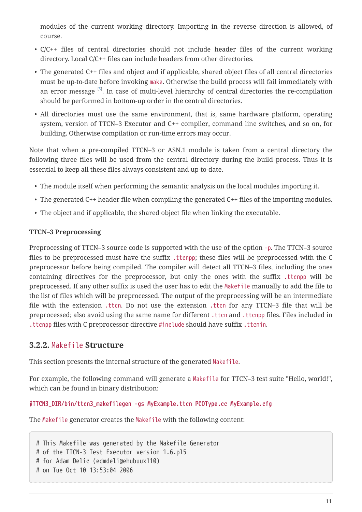modules of the current working directory. Importing in the reverse direction is allowed, of course.

- C/C++ files of central directories should not include header files of the current working directory. Local C/C++ files can include headers from other directories.
- <span id="page-12-1"></span>• The generated C++ files and object and if applicable, shared object files of all central directories must be up-to-date before invoking make. Otherwise the build process will fail immediately with an error message <sup>[[5](#page-21-3)]</sup>. In case of multi-level hierarchy of central directories the re-compilation should be performed in bottom-up order in the central directories.
- All directories must use the same environment, that is, same hardware platform, operating system, version of TTCN–3 Executor and C++ compiler, command line switches, and so on, for building. Otherwise compilation or run-time errors may occur.

Note that when a pre-compiled TTCN–3 or ASN.1 module is taken from a central directory the following three files will be used from the central directory during the build process. Thus it is essential to keep all these files always consistent and up-to-date.

- The module itself when performing the semantic analysis on the local modules importing it.
- The generated C++ header file when compiling the generated C++ files of the importing modules.
- The object and if applicable, the shared object file when linking the executable.

#### **TTCN–3 Preprocessing**

Preprocessing of TTCN–3 source code is supported with the use of the option -p. The TTCN–3 source files to be preprocessed must have the suffix .ttcnpp; these files will be preprocessed with the C preprocessor before being compiled. The compiler will detect all TTCN–3 files, including the ones containing directives for the preprocessor, but only the ones with the suffix .ttcnpp will be preprocessed. If any other suffix is used the user has to edit the Makefile manually to add the file to the list of files which will be preprocessed. The output of the preprocessing will be an intermediate file with the extension .ttcn. Do not use the extension .ttcn for any TTCN–3 file that will be preprocessed; also avoid using the same name for different .ttcn and .ttcnpp files. Files included in .ttcnpp files with C preprocessor directive #include should have suffix .ttcnin.

### <span id="page-12-0"></span>**3.2.2.** Makefile **Structure**

This section presents the internal structure of the generated Makefile.

For example, the following command will generate a Makefile for TTCN–3 test suite "Hello, world!", which can be found in binary distribution:

#### **\$TTCN3\_DIR/bin/ttcn3\_makefilegen -gs MyExample.ttcn PCOType.cc MyExample.cfg**

The Makefile generator creates the Makefile with the following content:

```
# This Makefile was generated by the Makefile Generator
# of the TTCN-3 Test Executor version 1.6.pl5
# for Adam Delic (edmdeli@ehubuux110)
# on Tue Oct 10 13:53:04 2006
```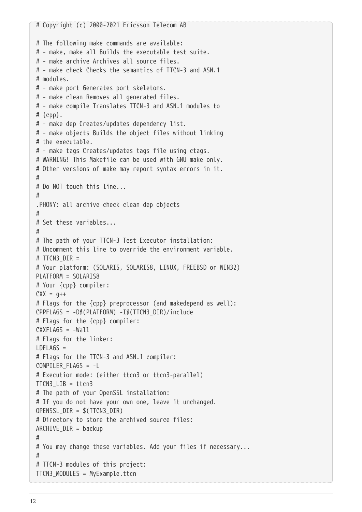```
# Copyright (c) 2000-2021 Ericsson Telecom AB
# The following make commands are available:
# - make, make all Builds the executable test suite.
# - make archive Archives all source files.
# - make check Checks the semantics of TTCN-3 and ASN.1
# modules.
# - make port Generates port skeletons.
# - make clean Removes all generated files.
# - make compile Translates TTCN-3 and ASN.1 modules to
# {cpp}.
# - make dep Creates/updates dependency list.
# - make objects Builds the object files without linking
# the executable.
# - make tags Creates/updates tags file using ctags.
# WARNING! This Makefile can be used with GNU make only.
# Other versions of make may report syntax errors in it.
#
# Do NOT touch this line...
#
.PHONY: all archive check clean dep objects
#
# Set these variables...
#
# The path of your TTCN-3 Test Executor installation:
# Uncomment this line to override the environment variable.
# TTCN3_DIR =
# Your platform: (SOLARIS, SOLARIS8, LINUX, FREEBSD or WIN32)
PLATFORM = SOLARIS8
# Your {cpp} compiler:
CXX = q++# Flags for the {cpp} preprocessor (and makedepend as well):
CPPFLAGS = -D$(PLATFORM) -I$(TTCN3_DIR)/include
# Flags for the {cpp} compiler:
CXXFLAGS = -Wall# Flags for the linker:
LDFLAGS =# Flags for the TTCN-3 and ASN.1 compiler:
COMPILER_FLAGS = -L
# Execution mode: (either ttcn3 or ttcn3-parallel)
TTCN3_LIB = ttcn3
# The path of your OpenSSL installation:
# If you do not have your own one, leave it unchanged.
OPENSSL_DIR = $(TTCN3_DIR)
# Directory to store the archived source files:
ARCHIVE_DIR = backup
#
# You may change these variables. Add your files if necessary...
#
# TTCN-3 modules of this project:
TTCN3_MODULES = MyExample.ttcn
```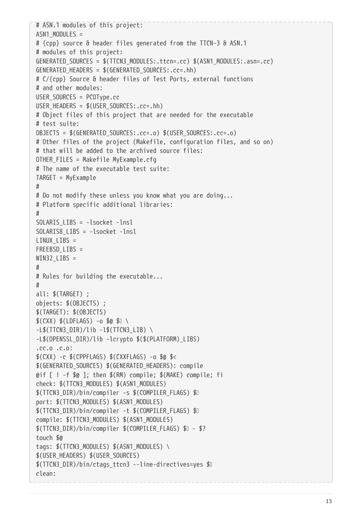```
# ASN.1 modules of this project:
ASN1 MODULES =
# {cpp} source & header files generated from the TTCN-3 & ASN.1
# modules of this project:
GENERATED SOURCES = $(TTCN3 MODULES:.ttcn=.cc) $(ASN1 MODULES:.asn=.cc)
GENERATED HEADERS = $(GENERATED SOURCES:.cc=.hh)
# C/{cpp} Source & header files of Test Ports, external functions
# and other modules:
USER_SOURCES = PCOType.cc
USER HEADERS = $(USER SOURCES:.cc=.hh)
# Object files of this project that are needed for the executable
# test suite:
OBJECTS = $(GENERATED_SOURCES:.cc=.o) $(USER_SOURCES:.cc=.o)
# Other files of the project (Makefile, configuration files, and so on)
# that will be added to the archived source files:
OTHER_FILES = Makefile MyExample.cfg
# The name of the executable test suite:
TARGET = MyExample
#
# Do not modify these unless you know what you are doing...
# Platform specific additional libraries:
#
SOLARIS_LIBS = -lsocket -lnsl
SOLARIS8_LIBS = -lsocket -lnsl
LINUX_LIBS =FREEBSD_LIBS =
WIN32 LIBS =
#
# Rules for building the executable...
#
all: $(TARGET) ;
objects: $(OBJECTS) ;
$(TARGET): $(OBJECTS)
$(CXX) $(LDFLAGS) -o $0 $0 \
-L$(TTCN3 DIR)/lib -L$(TTCN3 LIB) \
-L$(OPENSSL_DIR)/lib -lcrypto $($(PLATFORM)_LIBS)
.cc.o .c.o:
$(CXX) -c $(CPPFLAGS) $(CXXFLAGS) -o $@ $<
$(GENERATED_SOURCES) $(GENERATED_HEADERS): compile
@if [ \cdot ] -f \ $@ ]; then $ (RM) compile; $ (MAKE) compile; fi
check: $(TTCN3_MODULES) $(ASN1_MODULES)
$(TTCN3 DIR)/bin/compiler -s $(COMPILER FLAGS) $
port: $(TTCN3_MODULES) $(ASN1_MODULES)
$(TTCN3 DIR)/bin/compiler -t $(COMPILER FLAGS) $
compile: $(TTCN3_MODULES) $(ASN1_MODULES)
$(TTCN3_DIR)/bin/compiler $(COMPILER_FLAGS) $ˆ - $?
touch $@
tags: $(TTCN3_MODULES) $(ASN1_MODULES) \
$(USER_HEADERS) $(USER_SOURCES)
$(TTCN3_DIR)/bin/ctags_ttcn3 --line-directives=yes $ˆ
clean:
```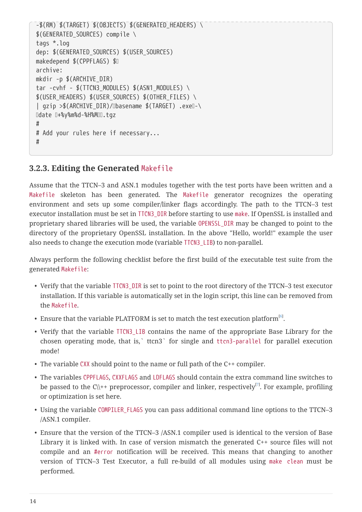```
-$(RM) $(TARGET) $(OBJECTS) $(GENERATED_HEADERS) \
$(GENERATED_SOURCES) compile \
tags *.log
dep: $(GENERATED_SOURCES) $(USER_SOURCES)
makedepend $(CPPFLAGS) $
archive:
mkdir -p $(ARCHIVE_DIR)
tar -cvhf - $(TTCN3 MODULES) $(ASN1 MODULES) \
$(USER HEADERS) $(USER SOURCES) $(OTHER FILES) \setminus| gzip >$(ARCHIVE_DIR)/ Ubasename $(TARGET) .exe -\
Udate U+%y%m%d-%H%MUU.tgz
#
# Add your rules here if necessary...
#
```
### <span id="page-15-2"></span>**3.2.3. Editing the Generated** Makefile

Assume that the TTCN–3 and ASN.1 modules together with the test ports have been written and a Makefile skeleton has been generated. The Makefile generator recognizes the operating environment and sets up some compiler/linker flags accordingly. The path to the TTCN–3 test executor installation must be set in TTCN3\_DIR before starting to use make. If OpenSSL is installed and proprietary shared libraries will be used, the variable OPENSSL\_DIR may be changed to point to the directory of the proprietary OpenSSL installation. In the above "Hello, world!" example the user also needs to change the execution mode (variable TTCN3\_LIB) to non-parallel.

Always perform the following checklist before the first build of the executable test suite from the generated Makefile:

- Verify that the variable TTCN3\_DIR is set to point to the root directory of the TTCN–3 test executor installation. If this variable is automatically set in the login script, this line can be removed from the Makefile.
- <span id="page-15-0"></span> $\bullet$  Ensure that the variable PLATFORM is set to match the test execution platform  $^{[6]}$  $^{[6]}$  $^{[6]}$ .
- Verify that the variable TTCN3\_LIB contains the name of the appropriate Base Library for the chosen operating mode, that is,` ttcn3` for single and ttcn3-parallel for parallel execution mode!
- The variable CXX should point to the name or full path of the C++ compiler.
- <span id="page-15-1"></span>• The variables CPPFLAGS, CXXFLAGS and LDFLAGS should contain the extra command line switches to be passed to the C\\++ preprocessor, compiler and linker, respectively $^{[7]}$  $^{[7]}$  $^{[7]}$ . For example, profiling or optimization is set here.
- Using the variable COMPILER\_FLAGS you can pass additional command line options to the TTCN–3 /ASN.1 compiler.
- Ensure that the version of the TTCN–3 /ASN.1 compiler used is identical to the version of Base Library it is linked with. In case of version mismatch the generated C++ source files will not compile and an #error notification will be received. This means that changing to another version of TTCN–3 Test Executor, a full re-build of all modules using make clean must be performed.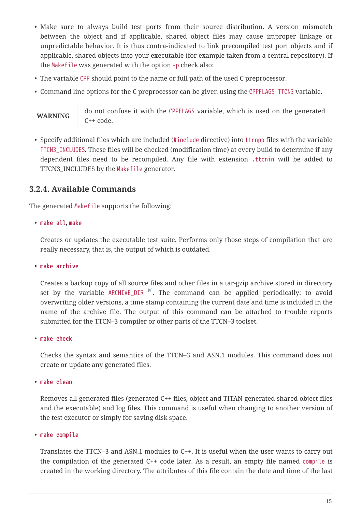- Make sure to always build test ports from their source distribution. A version mismatch between the object and if applicable, shared object files may cause improper linkage or unpredictable behavior. It is thus contra-indicated to link precompiled test port objects and if applicable, shared objects into your executable (for example taken from a central repository). If the Makefile was generated with the option -p check also:
- The variable CPP should point to the name or full path of the used C preprocessor.
- Command line options for the C preprocessor can be given using the CPPFLAGS TTCN3 variable.

**WARNING** do not confuse it with the CPPFLAGS variable, which is used on the generated C++ code.

• Specify additional files which are included (#include directive) into ttcnpp files with the variable TTCN3\_INCLUDES. These files will be checked (modification time) at every build to determine if any dependent files need to be recompiled. Any file with extension .ttcnin will be added to TTCN3\_INCLUDES by the Makefile generator.

### **3.2.4. Available Commands**

The generated Makefile supports the following:

• **make all**, **make**

Creates or updates the executable test suite. Performs only those steps of compilation that are really necessary, that is, the output of which is outdated.

• **make archive**

<span id="page-16-0"></span>Creates a backup copy of all source files and other files in a tar-gzip archive stored in directory set by the variable ARCHIVE\_DIR  $^{[8]}$  $^{[8]}$  $^{[8]}$ . The command can be applied periodically: to avoid overwriting older versions, a time stamp containing the current date and time is included in the name of the archive file. The output of this command can be attached to trouble reports submitted for the TTCN–3 compiler or other parts of the TTCN–3 toolset.

• **make check**

Checks the syntax and semantics of the TTCN–3 and ASN.1 modules. This command does not create or update any generated files.

• **make clean**

Removes all generated files (generated C++ files, object and TITAN generated shared object files and the executable) and log files. This command is useful when changing to another version of the test executor or simply for saving disk space.

#### • **make compile**

Translates the TTCN–3 and ASN.1 modules to C++. It is useful when the user wants to carry out the compilation of the generated C++ code later. As a result, an empty file named compile is created in the working directory. The attributes of this file contain the date and time of the last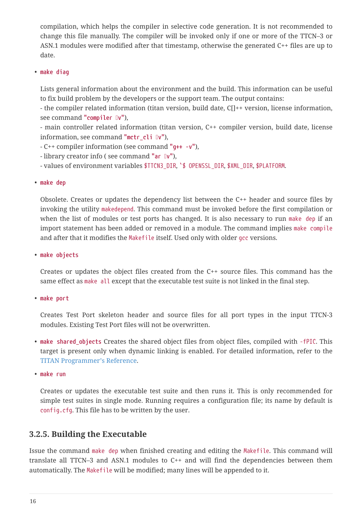compilation, which helps the compiler in selective code generation. It is not recommended to change this file manually. The compiler will be invoked only if one or more of the TTCN–3 or ASN.1 modules were modified after that timestamp, otherwise the generated C++ files are up to date.

#### • **make diag**

Lists general information about the environment and the build. This information can be useful to fix build problem by the developers or the support team. The output contains:

- the compiler related information (titan version, build date, C[]++ version, license information, see command "compiler Iv"),

- main controller related information (titan version, C++ compiler version, build date, license information, see command "mctr\_cli [v"),

- C++ compiler information (see command **"g++ -v"**),

- library creator info ( see command "ar  $\mathbb{I}v$ "),

- values of environment variables \$TTCN3\_DIR, `\$ OPENSSL\_DIR, \$XML\_DIR, \$PLATFORM.

• **make dep**

Obsolete. Creates or updates the dependency list between the C++ header and source files by invoking the utility makedepend. This command must be invoked before the first compilation or when the list of modules or test ports has changed. It is also necessary to run make dep if an import statement has been added or removed in a module. The command implies make compile and after that it modifies the Makefile itself. Used only with older gcc versions.

• **make objects**

Creates or updates the object files created from the C++ source files. This command has the same effect as make all except that the executable test suite is not linked in the final step.

• **make port**

Creates Test Port skeleton header and source files for all port types in the input TTCN-3 modules. Existing Test Port files will not be overwritten.

• make shared objects Creates the shared object files from object files, compiled with -fPIC. This target is present only when dynamic linking is enabled. For detailed information, refer to the [TITAN Programmer's Reference.](https://gitlab.eclipse.org/eclipse/titan/titan.core/tree/master/usrguide/referenceguide)

• **make run**

Creates or updates the executable test suite and then runs it. This is only recommended for simple test suites in single mode. Running requires a configuration file; its name by default is config.cfg. This file has to be written by the user.

### **3.2.5. Building the Executable**

Issue the command make dep when finished creating and editing the Makefile. This command will translate all TTCN–3 and ASN.1 modules to C++ and will find the dependencies between them automatically. The Makefile will be modified; many lines will be appended to it.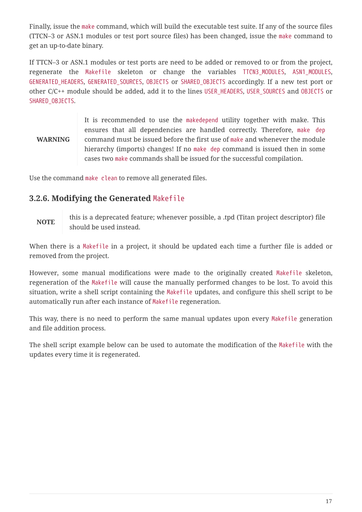Finally, issue the make command, which will build the executable test suite. If any of the source files (TTCN–3 or ASN.1 modules or test port source files) has been changed, issue the make command to get an up-to-date binary.

If TTCN–3 or ASN.1 modules or test ports are need to be added or removed to or from the project, regenerate the Makefile skeleton or change the variables TTCN3\_MODULES, ASN1\_MODULES, GENERATED\_HEADERS, GENERATED\_SOURCES, OBJECTS or SHARED\_OBJECTS accordingly. If a new test port or other C/C++ module should be added, add it to the lines USER\_HEADERS, USER\_SOURCES and OBJECTS or SHARED\_OBJECTS.

#### **WARNING** It is recommended to use the makedepend utility together with make. This ensures that all dependencies are handled correctly. Therefore, make dep command must be issued before the first use of make and whenever the module hierarchy (imports) changes! If no make dep command is issued then in some cases two make commands shall be issued for the successful compilation.

Use the command make clean to remove all generated files.

### **3.2.6. Modifying the Generated** Makefile

**NOTE**

this is a deprecated feature; whenever possible, a .tpd (Titan project descriptor) file should be used instead.

When there is a Makefile in a project, it should be updated each time a further file is added or removed from the project.

However, some manual modifications were made to the originally created Makefile skeleton, regeneration of the Makefile will cause the manually performed changes to be lost. To avoid this situation, write a shell script containing the Makefile updates, and configure this shell script to be automatically run after each instance of Makefile regeneration.

This way, there is no need to perform the same manual updates upon every Makefile generation and file addition process.

The shell script example below can be used to automate the modification of the Makefile with the updates every time it is regenerated.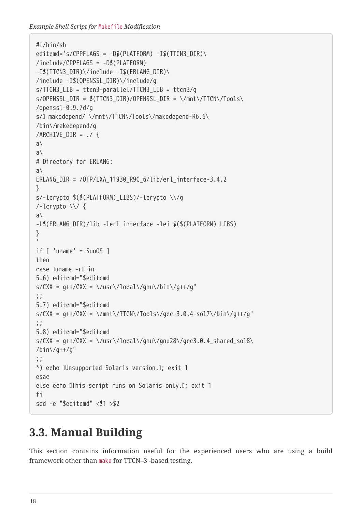*Example Shell Script for* Makefile *Modification*

```
#!/bin/sh
editcmd='s/CPPFLAGS = -D$(PLATFORM) -I$(TTCN3 DIR)\/include/CPPFLAGS = -D$(PLATFORM)
-I$(TTCN3_DIR)\/include -I$(ERLANG_DIR)\
/include -I$(OPENSSL_DIR)\/include/g
s/TTCN3_LIB = ttcn3-parallel/TTCN3_LIB = ttcn3/g
s/OPENSSL DIR = $(TTCN3DIR)/OPENSSLDIR = \sqrt{mnt}\TITCN/\Tools\/openssl-0.9.7d/g
s/\square makedepend/ \/mnt\/TTCN\/Tools\/makedepend-R6.6\
/bin\/makedepend/g
/ARCHIVE DIR = ./ {
a\
a\
# Directory for ERLANG:
a\
ERLANG_DIR = /OTP/LXA_11930_R9C_6/lib/erl_interface-3.4.2
}
s/-lcrypto $($(PLATFORM)_LIBS)/-lcrypto \\/g
/-lcrypto \\/ {
a\
-L$(ERLANG_DIR)/lib -lerl_interface -lei $($(PLATFORM)_LIBS)
}
'if \, \int'uname' = SunOS ]
then
case luname -Ii in
5.6) editcmd="$editcmd
s/CXX = g++/CXX = \frac{\log(\frac{1}{g}m\cdot\sin\frac{1}{g}+f)}{g''};;
5.7) editcmd="$editcmd
s/CXX = g++/CXX = \frac{\text{max}}{\text{max}}/TTCN\frac{\text{max}}{\text{max}}/TGC-3.0.4-\text{sol7}\frac{\text{min}}{\text{min}}/T.;;
5.8) editcmd="$editcmd
s/CXX = g++/CXX = \frac{\sqrt{\log(1)}{gnu}\gamma} s/CXX = \/usr\/local\/gnu\/gnu28\/gcc3.0.4_shared_sol8\
/bin\/g++/g"
;;
*) echo IUnsupported Solaris version. I; exit 1
esac
else echo IThis script runs on Solaris only. I; exit 1
fi
sed -e "$editcmd" <$1 >$2
```
## <span id="page-19-0"></span>**3.3. Manual Building**

This section contains information useful for the experienced users who are using a build framework other than make for TTCN–3 -based testing.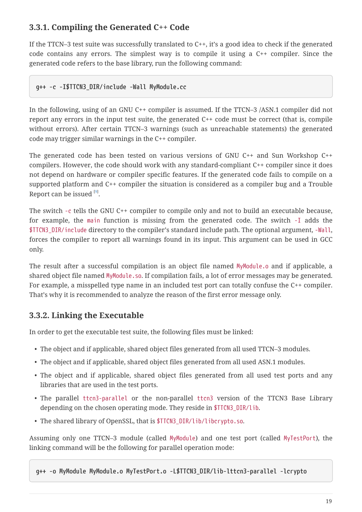## **3.3.1. Compiling the Generated C++ Code**

If the TTCN–3 test suite was successfully translated to C++, it's a good idea to check if the generated code contains any errors. The simplest way is to compile it using a C++ compiler. Since the generated code refers to the base library, run the following command:

#### **g++ -c -I\$TTCN3\_DIR/include -Wall MyModule.cc**

In the following, using of an GNU C++ compiler is assumed. If the TTCN–3 /ASN.1 compiler did not report any errors in the input test suite, the generated C++ code must be correct (that is, compile without errors). After certain TTCN–3 warnings (such as unreachable statements) the generated code may trigger similar warnings in the C++ compiler.

The generated code has been tested on various versions of GNU C++ and Sun Workshop C++ compilers. However, the code should work with any standard-compliant C++ compiler since it does not depend on hardware or compiler specific features. If the generated code fails to compile on a supported platform and C++ compiler the situation is considered as a compiler bug and a Trouble Report can be issued  $^{[9]}$  $^{[9]}$  $^{[9]}$ .

<span id="page-20-0"></span>The switch -c tells the GNU C++ compiler to compile only and not to build an executable because, for example, the main function is missing from the generated code. The switch -I adds the \$TTCN3\_DIR/include directory to the compiler's standard include path. The optional argument, -Wall, forces the compiler to report all warnings found in its input. This argument can be used in GCC only.

The result after a successful compilation is an object file named MyModule.o and if applicable, a shared object file named MyModule.so. If compilation fails, a lot of error messages may be generated. For example, a misspelled type name in an included test port can totally confuse the C++ compiler. That's why it is recommended to analyze the reason of the first error message only.

### **3.3.2. Linking the Executable**

In order to get the executable test suite, the following files must be linked:

- The object and if applicable, shared object files generated from all used TTCN–3 modules.
- The object and if applicable, shared object files generated from all used ASN.1 modules.
- The object and if applicable, shared object files generated from all used test ports and any libraries that are used in the test ports.
- The parallel ttcn3-parallel or the non-parallel ttcn3 version of the TTCN3 Base Library depending on the chosen operating mode. They reside in \$TTCN3\_DIR/lib.
- The shared library of OpenSSL, that is \$TTCN3\_DIR/lib/libcrypto.so.

Assuming only one TTCN–3 module (called MyModule) and one test port (called MyTestPort), the linking command will be the following for parallel operation mode:

```
g++ -o MyModule MyModule.o MyTestPort.o -L$TTCN3_DIR/lib-lttcn3-parallel -lcrypto
```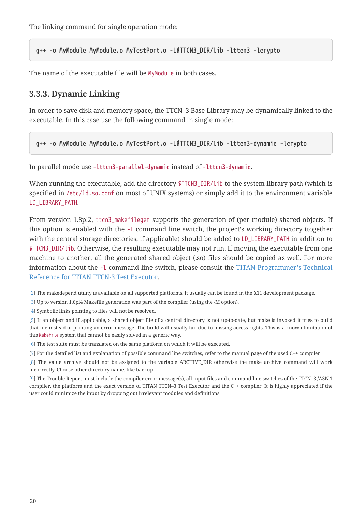The linking command for single operation mode:

**g++ -o MyModule MyModule.o MyTestPort.o -L\$TTCN3\_DIR/lib -lttcn3 -lcrypto**

The name of the executable file will be MyModule in both cases.

### **3.3.3. Dynamic Linking**

In order to save disk and memory space, the TTCN–3 Base Library may be dynamically linked to the executable. In this case use the following command in single mode:

**g++ -o MyModule MyModule.o MyTestPort.o -L\$TTCN3\_DIR/lib -lttcn3-dynamic -lcrypto**

In parallel mode use **-lttcn3-parallel-dynamic** instead of **-lttcn3-dynamic**.

When running the executable, add the directory \$TTCN3\_DIR/lib to the system library path (which is specified in /etc/ld.so.conf on most of UNIX systems) or simply add it to the environment variable LD\_LIBRARY\_PATH.

From version 1.8pl2, ttcn3\_makefilegen supports the generation of (per module) shared objects. If this option is enabled with the -l command line switch, the project's working directory (together with the central storage directories, if applicable) should be added to LD\_LIBRARY\_PATH in addition to \$TTCN3\_DIR/lib. Otherwise, the resulting executable may not run. If moving the executable from one machine to another, all the generated shared object (.so) files should be copied as well. For more information about the -l command line switch, please consult the [TITAN Programmer's Technical](https://gitlab.eclipse.org/eclipse/titan/titan.core/tree/master/usrguide/referenceguide) [Reference for TITAN TTCN-3 Test Executor](https://gitlab.eclipse.org/eclipse/titan/titan.core/tree/master/usrguide/referenceguide).

<span id="page-21-0"></span>[\[2\]](#page-8-1) The makedepend utility is available on all supported platforms. It usually can be found in the X11 development package.

<span id="page-21-1"></span>[\[3\]](#page-8-2) Up to version 1.6pl4 Makefile generation was part of the compiler (using the -M option).

<span id="page-21-2"></span>[\[4\]](#page-10-0) Symbolic links pointing to files will not be resolved.

<span id="page-21-3"></span>[\[5\]](#page-12-1) If an object and if applicable, a shared object file of a central directory is not up-to-date, but make is invoked it tries to build that file instead of printing an error message. The build will usually fail due to missing access rights. This is a known limitation of this Makefile system that cannot be easily solved in a generic way.

<span id="page-21-4"></span>[\[6\]](#page-15-0) The test suite must be translated on the same platform on which it will be executed.

<span id="page-21-5"></span>[\[7\]](#page-15-1) For the detailed list and explanation of possible command line switches, refer to the manual page of the used C++ compiler

<span id="page-21-6"></span>[\[8\]](#page-16-0) The value archive should not be assigned to the variable ARCHIVE\_DIR otherwise the make archive command will work incorrectly. Choose other directory name, like backup.

<span id="page-21-7"></span>[\[9\]](#page-20-0) The Trouble Report must include the compiler error message(s), all input files and command line switches of the TTCN–3 /ASN.1 compiler, the platform and the exact version of TITAN TTCN–3 Test Executor and the C++ compiler. It is highly appreciated if the user could minimize the input by dropping out irrelevant modules and definitions.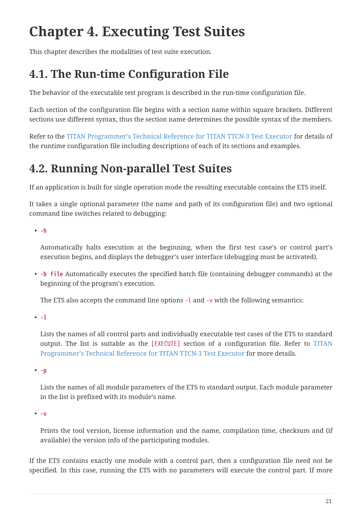# <span id="page-22-0"></span>**Chapter 4. Executing Test Suites**

This chapter describes the modalities of test suite execution.

## <span id="page-22-1"></span>**4.1. The Run-time Configuration File**

The behavior of the executable test program is described in the run-time configuration file.

Each section of the configuration file begins with a section name within square brackets. Different sections use different syntax, thus the section name determines the possible syntax of the members.

Refer to the [TITAN Programmer's Technical Reference for TITAN TTCN-3 Test Executor](https://gitlab.eclipse.org/eclipse/titan/titan.core/tree/master/usrguide/referenceguide) for details of the runtime configuration file including descriptions of each of its sections and examples.

## <span id="page-22-2"></span>**4.2. Running Non-parallel Test Suites**

If an application is built for single operation mode the resulting executable contains the ETS itself.

It takes a single optional parameter (the name and path of its configuration file) and two optional command line switches related to debugging:

• **-h**

Automatically halts execution at the beginning, when the first test case's or control part's execution begins, and displays the debugger's user interface (debugging must be activated).

• **-b file** Automatically executes the specified batch file (containing debugger commands) at the beginning of the program's execution.

The ETS also accepts the command line options -l and -v with the following semantics:

• **-l**

Lists the names of all control parts and individually executable test cases of the ETS to standard output. The list is suitable as the [EXECUTE] section of a configuration file. Refer to [TITAN](https://gitlab.eclipse.org/eclipse/titan/titan.core/tree/master/usrguide/referenceguide) [Programmer's Technical Reference for TITAN TTCN-3 Test Executor](https://gitlab.eclipse.org/eclipse/titan/titan.core/tree/master/usrguide/referenceguide) for more details.

• **-p**

Lists the names of all module parameters of the ETS to standard output. Each module parameter in the list is prefixed with its module's name.

• **-v**

Prints the tool version, license information and the name, compilation time, checksum and (if available) the version info of the participating modules.

If the ETS contains exactly one module with a control part, then a configuration file need not be specified. In this case, running the ETS with no parameters will execute the control part. If more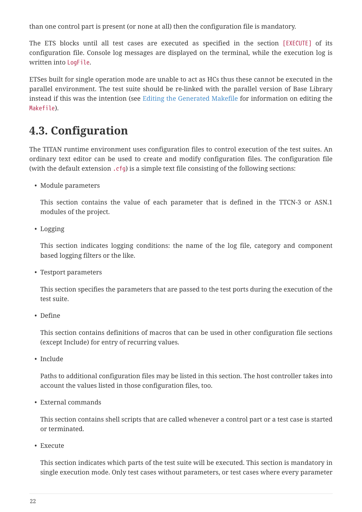than one control part is present (or none at all) then the configuration file is mandatory.

The ETS blocks until all test cases are executed as specified in the section [EXECUTE] of its configuration file. Console log messages are displayed on the terminal, while the execution log is written into LogFile.

ETSes built for single operation mode are unable to act as HCs thus these cannot be executed in the parallel environment. The test suite should be re-linked with the parallel version of Base Library instead if this was the intention (see [Editing the Generated Makefile](#page-15-2) for information on editing the Makefile).

## <span id="page-23-0"></span>**4.3. Configuration**

The TITAN runtime environment uses configuration files to control execution of the test suites. An ordinary text editor can be used to create and modify configuration files. The configuration file (with the default extension .cfg) is a simple text file consisting of the following sections:

• Module parameters

This section contains the value of each parameter that is defined in the TTCN-3 or ASN.1 modules of the project.

• Logging

This section indicates logging conditions: the name of the log file, category and component based logging filters or the like.

• Testport parameters

This section specifies the parameters that are passed to the test ports during the execution of the test suite.

• Define

This section contains definitions of macros that can be used in other configuration file sections (except Include) for entry of recurring values.

• Include

Paths to additional configuration files may be listed in this section. The host controller takes into account the values listed in those configuration files, too.

• External commands

This section contains shell scripts that are called whenever a control part or a test case is started or terminated.

• Execute

This section indicates which parts of the test suite will be executed. This section is mandatory in single execution mode. Only test cases without parameters, or test cases where every parameter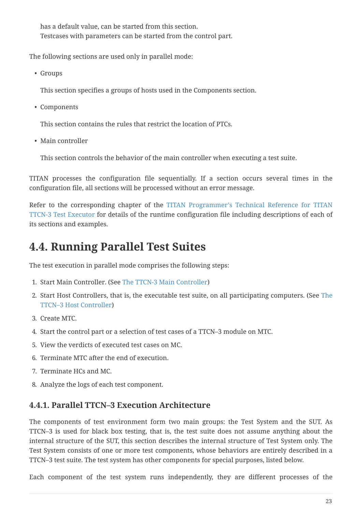has a default value, can be started from this section. Testcases with parameters can be started from the control part.

The following sections are used only in parallel mode:

• Groups

This section specifies a groups of hosts used in the Components section.

• Components

This section contains the rules that restrict the location of PTCs.

• Main controller

This section controls the behavior of the main controller when executing a test suite.

TITAN processes the configuration file sequentially. If a section occurs several times in the configuration file, all sections will be processed without an error message.

Refer to the corresponding chapter of the [TITAN Programmer's Technical Reference for TITAN](https://gitlab.eclipse.org/eclipse/titan/titan.core/tree/master/usrguide/referenceguide) [TTCN-3 Test Executor](https://gitlab.eclipse.org/eclipse/titan/titan.core/tree/master/usrguide/referenceguide) for details of the runtime configuration file including descriptions of each of its sections and examples.

## <span id="page-24-0"></span>**4.4. Running Parallel Test Suites**

The test execution in parallel mode comprises the following steps:

- 1. Start Main Controller. (See [The TTCN-3 Main Controller](#page-26-0))
- 2. Start Host Controllers, that is, the executable test suite, on all participating computers. (See [The](#page-30-0) [TTCN–3 Host Controller\)](#page-30-0)
- 3. Create MTC.
- 4. Start the control part or a selection of test cases of a TTCN–3 module on MTC.
- 5. View the verdicts of executed test cases on MC.
- 6. Terminate MTC after the end of execution.
- 7. Terminate HCs and MC.
- 8. Analyze the logs of each test component.

## **4.4.1. Parallel TTCN–3 Execution Architecture**

The components of test environment form two main groups: the Test System and the SUT. As TTCN–3 is used for black box testing, that is, the test suite does not assume anything about the internal structure of the SUT, this section describes the internal structure of Test System only. The Test System consists of one or more test components, whose behaviors are entirely described in a TTCN–3 test suite. The test system has other components for special purposes, listed below.

Each component of the test system runs independently, they are different processes of the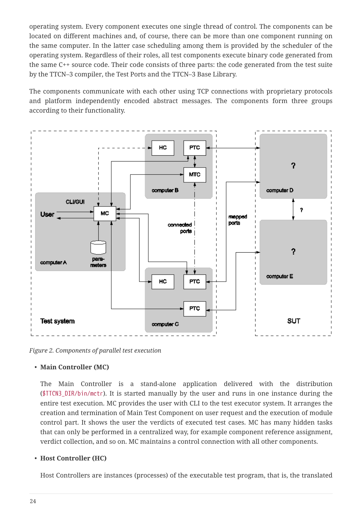operating system. Every component executes one single thread of control. The components can be located on different machines and, of course, there can be more than one component running on the same computer. In the latter case scheduling among them is provided by the scheduler of the operating system. Regardless of their roles, all test components execute binary code generated from the same C++ source code. Their code consists of three parts: the code generated from the test suite by the TTCN–3 compiler, the Test Ports and the TTCN–3 Base Library.

The components communicate with each other using TCP connections with proprietary protocols and platform independently encoded abstract messages. The components form three groups according to their functionality.



*Figure 2. Components of parallel test execution*

#### • **Main Controller (MC)**

The Main Controller is a stand-alone application delivered with the distribution  $(\frac{\text{STICN3}}{\text{DIR/bin/mctr}})$ . It is started manually by the user and runs in one instance during the entire test execution. MC provides the user with CLI to the test executor system. It arranges the creation and termination of Main Test Component on user request and the execution of module control part. It shows the user the verdicts of executed test cases. MC has many hidden tasks that can only be performed in a centralized way, for example component reference assignment, verdict collection, and so on. MC maintains a control connection with all other components.

#### • **Host Controller (HC)**

Host Controllers are instances (processes) of the executable test program, that is, the translated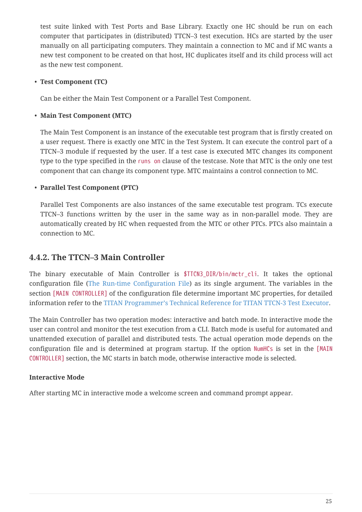test suite linked with Test Ports and Base Library. Exactly one HC should be run on each computer that participates in (distributed) TTCN–3 test execution. HCs are started by the user manually on all participating computers. They maintain a connection to MC and if MC wants a new test component to be created on that host, HC duplicates itself and its child process will act as the new test component.

#### • **Test Component (TC)**

Can be either the Main Test Component or a Parallel Test Component.

### • **Main Test Component (MTC)**

The Main Test Component is an instance of the executable test program that is firstly created on a user request. There is exactly one MTC in the Test System. It can execute the control part of a TTCN–3 module if requested by the user. If a test case is executed MTC changes its component type to the type specified in the runs on clause of the testcase. Note that MTC is the only one test component that can change its component type. MTC maintains a control connection to MC.

### • **Parallel Test Component (PTC)**

Parallel Test Components are also instances of the same executable test program. TCs execute TTCN–3 functions written by the user in the same way as in non-parallel mode. They are automatically created by HC when requested from the MTC or other PTCs. PTCs also maintain a connection to MC.

### <span id="page-26-0"></span>**4.4.2. The TTCN–3 Main Controller**

The binary executable of Main Controller is \$TTCN3 DIR/bin/mctr cli. It takes the optional configuration file [\(The Run-time Configuration File\)](#page-22-1) as its single argument. The variables in the section [MAIN CONTROLLER] of the configuration file determine important MC properties, for detailed information refer to the [TITAN Programmer's Technical Reference for TITAN TTCN-3 Test Executor](https://gitlab.eclipse.org/eclipse/titan/titan.core/tree/master/usrguide/referenceguide).

The Main Controller has two operation modes: interactive and batch mode. In interactive mode the user can control and monitor the test execution from a CLI. Batch mode is useful for automated and unattended execution of parallel and distributed tests. The actual operation mode depends on the configuration file and is determined at program startup. If the option NumHCs is set in the [MAIN CONTROLLER] section, the MC starts in batch mode, otherwise interactive mode is selected.

### **Interactive Mode**

After starting MC in interactive mode a welcome screen and command prompt appear.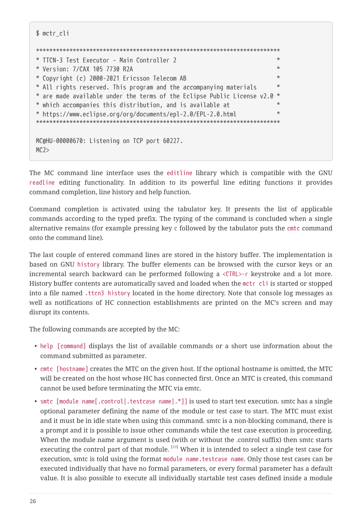```
$ mctr_cli
*************************************************************************
* TTCN-3 Test Executor - Main Controller 2 *
* Version: 7/CAX 105 7730 R2A *
* Copyright (c) 2000-2021 Ericsson Telecom AB *
* All rights reserved. This program and the accompanying materials *
* are made available under the terms of the Eclipse Public License v2.0 *
* which accompanies this distribution, and is available at *
* https://www.eclipse.org/org/documents/epl-2.0/EPL-2.0.html *
*************************************************************************
MC@HU-00000670: Listening on TCP port 60227.
MC2
```
The MC command line interface uses the editline library which is compatible with the GNU readline editing functionality. In addition to its powerful line editing functions it provides command completion, line history and help function.

Command completion is activated using the tabulator key. It presents the list of applicable commands according to the typed prefix. The typing of the command is concluded when a single alternative remains (for example pressing key c followed by the tabulator puts the cmtc command onto the command line).

The last couple of entered command lines are stored in the history buffer. The implementation is based on GNU history library. The buffer elements can be browsed with the cursor keys or an incremental search backward can be performed following a <CTRL>-r keystroke and a lot more. History buffer contents are automatically saved and loaded when the mctr cli is started or stopped into a file named .ttcn3 history located in the home directory. Note that console log messages as well as notifications of HC connection establishments are printed on the MC's screen and may disrupt its contents.

The following commands are accepted by the MC:

- help [command] displays the list of available commands or a short use information about the command submitted as parameter.
- cmtc [hostname] creates the MTC on the given host. If the optional hostname is omitted, the MTC will be created on the host whose HC has connected first. Once an MTC is created, this command cannot be used before terminating the MTC via emtc.
- <span id="page-27-0"></span>• smtc [module name[.control|.testcase name|.\*]] is used to start test execution. smtc has a single optional parameter defining the name of the module or test case to start. The MTC must exist and it must be in idle state when using this command. smtc is a non-blocking command, there is a prompt and it is possible to issue other commands while the test case execution is proceeding. When the module name argument is used (with or without the .control suffix) then smtc starts executing the control part of that module.  $^{[10]}$  $^{[10]}$  $^{[10]}$  When it is intended to select a single test case for execution, smtc is told using the format module name.testcase name. Only those test cases can be executed individually that have no formal parameters, or every formal parameter has a default value. It is also possible to execute all individually startable test cases defined inside a module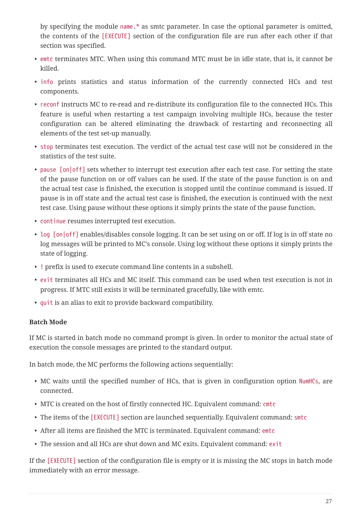by specifying the module name.\* as smtc parameter. In case the optional parameter is omitted, the contents of the [EXECUTE] section of the configuration file are run after each other if that section was specified.

- emtc terminates MTC. When using this command MTC must be in idle state, that is, it cannot be killed.
- info prints statistics and status information of the currently connected HCs and test components.
- reconf instructs MC to re-read and re-distribute its configuration file to the connected HCs. This feature is useful when restarting a test campaign involving multiple HCs, because the tester configuration can be altered eliminating the drawback of restarting and reconnecting all elements of the test set-up manually.
- stop terminates test execution. The verdict of the actual test case will not be considered in the statistics of the test suite.
- pause [on|off] sets whether to interrupt test execution after each test case. For setting the state of the pause function on or off values can be used. If the state of the pause function is on and the actual test case is finished, the execution is stopped until the continue command is issued. If pause is in off state and the actual test case is finished, the execution is continued with the next test case. Using pause without these options it simply prints the state of the pause function.
- continue resumes interrupted test execution.
- log [on|off] enables/disables console logging. It can be set using on or off. If log is in off state no log messages will be printed to MC's console. Using log without these options it simply prints the state of logging.
- ! prefix is used to execute command line contents in a subshell.
- exit terminates all HCs and MC itself. This command can be used when test execution is not in progress. If MTC still exists it will be terminated gracefully, like with emtc.
- quit is an alias to exit to provide backward compatibility.

### **Batch Mode**

If MC is started in batch mode no command prompt is given. In order to monitor the actual state of execution the console messages are printed to the standard output.

In batch mode, the MC performs the following actions sequentially:

- MC waits until the specified number of HCs, that is given in configuration option NumHCs, are connected.
- MTC is created on the host of firstly connected HC. Equivalent command: cmtc
- The items of the [EXECUTE] section are launched sequentially. Equivalent command: smtc
- After all items are finished the MTC is terminated. Equivalent command: emtc
- The session and all HCs are shut down and MC exits. Equivalent command: exit

If the [EXECUTE] section of the configuration file is empty or it is missing the MC stops in batch mode immediately with an error message.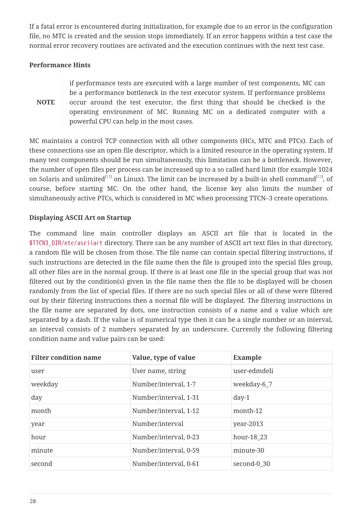If a fatal error is encountered during initialization, for example due to an error in the configuration file, no MTC is created and the session stops immediately. If an error happens within a test case the normal error recovery routines are activated and the execution continues with the next test case.

#### **Performance Hints**

**NOTE** if performance tests are executed with a large number of test components, MC can be a performance bottleneck in the test executor system. If performance problems occur around the test executor, the first thing that should be checked is the operating environment of MC. Running MC on a dedicated computer with a powerful CPU can help in the most cases.

<span id="page-29-1"></span><span id="page-29-0"></span>MC maintains a control TCP connection with all other components (HCs, MTC and PTCs). Each of these connections use an open file descriptor, which is a limited resource in the operating system. If many test components should be run simultaneously, this limitation can be a bottleneck. However, the number of open files per process can be increased up to a so called hard limit (for example 1024 on Solaris and unlimited $^{\rm [11]}$  $^{\rm [11]}$  $^{\rm [11]}$  on Linux). The limit can be increased by a built-in shell command $^{\rm [12]}$  $^{\rm [12]}$  $^{\rm [12]}$ , of course, before starting MC. On the other hand, the license key also limits the number of simultaneously active PTCs, which is considered in MC when processing TTCN–3 create operations.

#### **Displaying ASCII Art on Startup**

The command line main controller displays an ASCII art file that is located in the \$TTCN3\_DIR/etc/asciiart directory. There can be any number of ASCII art text files in that directory, a random file will be chosen from those. The file name can contain special filtering instructions, if such instructions are detected in the file name then the file is grouped into the special files group, all other files are in the normal group. If there is at least one file in the special group that was not filtered out by the condition(s) given in the file name then the file to be displayed will be chosen randomly from the list of special files. If there are no such special files or all of these were filtered out by their filtering instructions then a normal file will be displayed. The filtering instructions in the file name are separated by dots, one instruction consists of a name and a value which are separated by a dash. If the value is of numerical type then it can be a single number or an interval, an interval consists of 2 numbers separated by an underscore. Currently the following filtering condition name and value pairs can be used:

| <b>Filter condition name</b> | Value, type of value  | <b>Example</b> |
|------------------------------|-----------------------|----------------|
| user                         | User name, string     | user-edmdeli   |
| weekday                      | Number/interval, 1-7  | weekday-6_7    |
| day                          | Number/interval, 1-31 | $day-1$        |
| month                        | Number/interval, 1-12 | month-12       |
| year                         | Number/interval       | year-2013      |
| hour                         | Number/interval, 0-23 | hour-18 23     |
| minute                       | Number/interval, 0-59 | minute-30      |
| second                       | Number/interval, 0-61 | second-0 30    |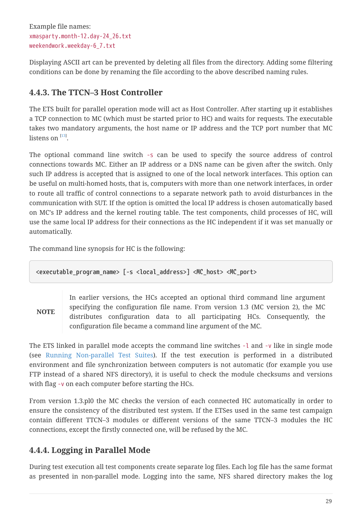Example file names: xmasparty.month-12.day-24\_26.txt weekendwork.weekday-6\_7.txt

Displaying ASCII art can be prevented by deleting all files from the directory. Adding some filtering conditions can be done by renaming the file according to the above described naming rules.

## <span id="page-30-0"></span>**4.4.3. The TTCN–3 Host Controller**

The ETS built for parallel operation mode will act as Host Controller. After starting up it establishes a TCP connection to MC (which must be started prior to HC) and waits for requests. The executable takes two mandatory arguments, the host name or IP address and the TCP port number that MC listens on  $^{\left[13\right]}$ .

<span id="page-30-1"></span>The optional command line switch -s can be used to specify the source address of control connections towards MC. Either an IP address or a DNS name can be given after the switch. Only such IP address is accepted that is assigned to one of the local network interfaces. This option can be useful on multi-homed hosts, that is, computers with more than one network interfaces, in order to route all traffic of control connections to a separate network path to avoid disturbances in the communication with SUT. If the option is omitted the local IP address is chosen automatically based on MC's IP address and the kernel routing table. The test components, child processes of HC, will use the same local IP address for their connections as the HC independent if it was set manually or automatically.

The command line synopsis for HC is the following:

**<executable\_program\_name> [-s <local\_address>] <MC\_host> <MC\_port>**

**NOTE**

In earlier versions, the HCs accepted an optional third command line argument specifying the configuration file name. From version 1.3 (MC version 2), the MC distributes configuration data to all participating HCs. Consequently, the configuration file became a command line argument of the MC.

The ETS linked in parallel mode accepts the command line switches -l and -v like in single mode (see [Running Non-parallel Test Suites\)](#page-22-2). If the test execution is performed in a distributed environment and file synchronization between computers is not automatic (for example you use FTP instead of a shared NFS directory), it is useful to check the module checksums and versions with flag -v on each computer before starting the HCs.

From version 1.3.pl0 the MC checks the version of each connected HC automatically in order to ensure the consistency of the distributed test system. If the ETSes used in the same test campaign contain different TTCN–3 modules or different versions of the same TTCN–3 modules the HC connections, except the firstly connected one, will be refused by the MC.

## **4.4.4. Logging in Parallel Mode**

During test execution all test components create separate log files. Each log file has the same format as presented in non-parallel mode. Logging into the same, NFS shared directory makes the log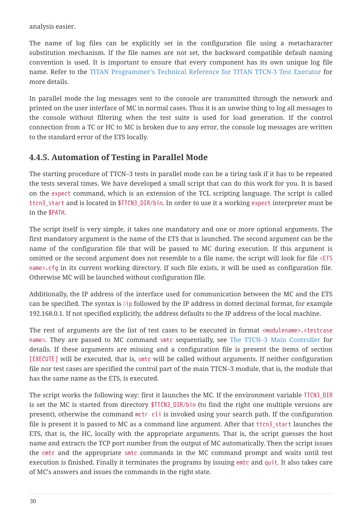analysis easier.

The name of log files can be explicitly set in the configuration file using a metacharacter substitution mechanism. If the file names are not set, the backward compatible default naming convention is used. It is important to ensure that every component has its own unique log file name. Refer to the [TITAN Programmer's Technical Reference for TITAN TTCN-3 Test Executor](https://gitlab.eclipse.org/eclipse/titan/titan.core/tree/master/usrguide/referenceguide) for more details.

In parallel mode the log messages sent to the console are transmitted through the network and printed on the user interface of MC in normal cases. Thus it is an unwise thing to log all messages to the console without filtering when the test suite is used for load generation. If the control connection from a TC or HC to MC is broken due to any error, the console log messages are written to the standard error of the ETS locally.

### **4.4.5. Automation of Testing in Parallel Mode**

The starting procedure of TTCN–3 tests in parallel mode can be a tiring task if it has to be repeated the tests several times. We have developed a small script that can do this work for you. It is based on the expect command, which is an extension of the TCL scripting language. The script is called ttcn3\_start and is located in \$TTCN3\_DIR/bin. In order to use it a working expect interpreter must be in the \$PATH.

The script itself is very simple, it takes one mandatory and one or more optional arguments. The first mandatory argument is the name of the ETS that is launched. The second argument can be the name of the configuration file that will be passed to MC during execution. If this argument is omitted or the second argument does not resemble to a file name, the script will look for file <ETS name>.cfg in its current working directory. If such file exists, it will be used as configuration file. Otherwise MC will be launched without configuration file.

Additionally, the IP address of the interface used for communication between the MC and the ETS can be specified. The syntax is  $\mathbb{I}$  ip followed by the IP address in dotted decimal format, for example 192.168.0.1. If not specified explicitly, the address defaults to the IP address of the local machine.

The rest of arguments are the list of test cases to be executed in format <modulename>.<testcase name>. They are passed to MC command smtc sequentially, see [The TTCN–3 Main Controller](#page-26-0) for details. If these arguments are missing and a configuration file is present the items of section [EXECUTE] will be executed, that is, smtc will be called without arguments. If neither configuration file nor test cases are specified the control part of the main TTCN–3 module, that is, the module that has the same name as the ETS, is executed.

The script works the following way: first it launches the MC. If the environment variable TTCN3\_DIR is set the MC is started from directory \$TTCN3\_DIR/bin (to find the right one multiple versions are present), otherwise the command mctr cli is invoked using your search path. If the configuration file is present it is passed to MC as a command line argument. After that ttcn3\_start launches the ETS, that is, the HC, locally with the appropriate arguments. That is, the script guesses the host name and extracts the TCP port number from the output of MC automatically. Then the script issues the cmtc and the appropriate smtc commands in the MC command prompt and waits until test execution is finished. Finally it terminates the programs by issuing emtc and quit. It also takes care of MC's answers and issues the commands in the right state.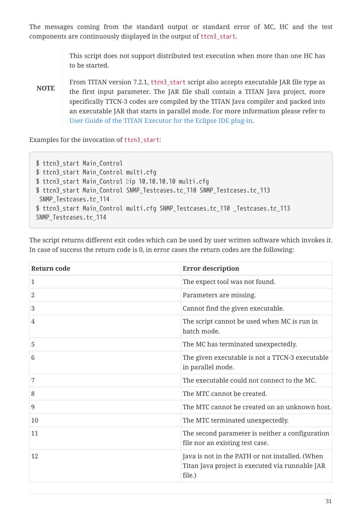The messages coming from the standard output or standard error of MC, HC and the test components are continuously displayed in the output of ttcn3\_start.

> This script does not support distributed test execution when more than one HC has to be started.

**NOTE** From TITAN version 7.2.1, ttcn3\_start script also accepts executable JAR file type as the first input parameter. The JAR file shall contain a TITAN Java project, more specifically TTCN-3 codes are compiled by the TITAN Java compiler and packed into an executable JAR that starts in parallel mode. For more information please refer to [User Guide of the TITAN Executor for the Eclipse IDE plug-in](https://gitlab.eclipse.org/eclipse/titan/titan.EclipsePlug-ins/tree/master/org.eclipse.titan.executor/docs/Eclipse_Executor_userguide).

Examples for the invocation of ttcn3\_start:

\$ ttcn3\_start Main\_Control \$ ttcn3 start Main Control multi.cfg \$ ttcn3\_start Main\_Control Dip 10.10.10.10 multi.cfg \$ ttcn3 start Main Control SNMP Testcases.tc 110 SNMP Testcases.tc 113 SNMP Testcases.tc 114 \$ ttcn3\_start Main\_Control multi.cfg SNMP\_Testcases.tc\_110 \_Testcases.tc\_113 SNMP\_Testcases.tc\_114

The script returns different exit codes which can be used by user written software which invokes it. In case of success the return code is 0, in error cases the return codes are the following:

| <b>Return code</b> | <b>Error description</b>                                                                                     |
|--------------------|--------------------------------------------------------------------------------------------------------------|
| 1                  | The expect tool was not found.                                                                               |
| 2                  | Parameters are missing.                                                                                      |
| 3                  | Cannot find the given executable.                                                                            |
| 4                  | The script cannot be used when MC is run in<br>batch mode.                                                   |
| 5                  | The MC has terminated unexpectedly.                                                                          |
| 6                  | The given executable is not a TTCN-3 executable<br>in parallel mode.                                         |
| 7                  | The executable could not connect to the MC.                                                                  |
| 8                  | The MTC cannot be created.                                                                                   |
| 9                  | The MTC cannot be created on an unknown host.                                                                |
| 10                 | The MTC terminated unexpectedly.                                                                             |
| 11                 | The second parameter is neither a configuration<br>file nor an existing test case.                           |
| 12                 | Java is not in the PATH or not installed. (When<br>Titan Java project is executed via runnable JAR<br>file.) |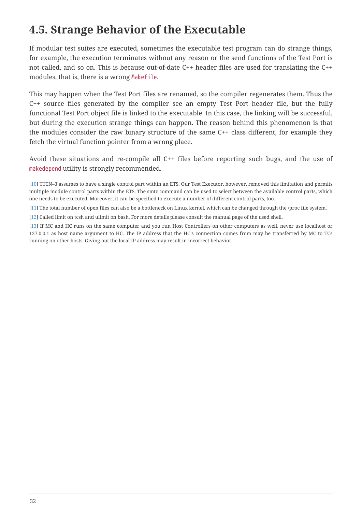## <span id="page-33-0"></span>**4.5. Strange Behavior of the Executable**

If modular test suites are executed, sometimes the executable test program can do strange things, for example, the execution terminates without any reason or the send functions of the Test Port is not called, and so on. This is because out-of-date C++ header files are used for translating the C++ modules, that is, there is a wrong Makefile.

This may happen when the Test Port files are renamed, so the compiler regenerates them. Thus the C++ source files generated by the compiler see an empty Test Port header file, but the fully functional Test Port object file is linked to the executable. In this case, the linking will be successful, but during the execution strange things can happen. The reason behind this phenomenon is that the modules consider the raw binary structure of the same C++ class different, for example they fetch the virtual function pointer from a wrong place.

Avoid these situations and re-compile all C++ files before reporting such bugs, and the use of makedepend utility is strongly recommended.

<span id="page-33-1"></span>[\[10](#page-27-0)] TTCN–3 assumes to have a single control part within an ETS. Our Test Executor, however, removed this limitation and permits multiple module control parts within the ETS. The smtc command can be used to select between the available control parts, which one needs to be executed. Moreover, it can be specified to execute a number of different control parts, too.

<span id="page-33-2"></span>[\[11](#page-29-0)] The total number of open files can also be a bottleneck on Linux kernel, which can be changed through the /proc file system.

<span id="page-33-3"></span>[\[12](#page-29-1)] Called limit on tcsh and ulimit on bash. For more details please consult the manual page of the used shell.

<span id="page-33-4"></span>[\[13](#page-30-1)] If MC and HC runs on the same computer and you run Host Controllers on other computers as well, never use localhost or 127.0.0.1 as host name argument to HC. The IP address that the HC's connection comes from may be transferred by MC to TCs running on other hosts. Giving out the local IP address may result in incorrect behavior.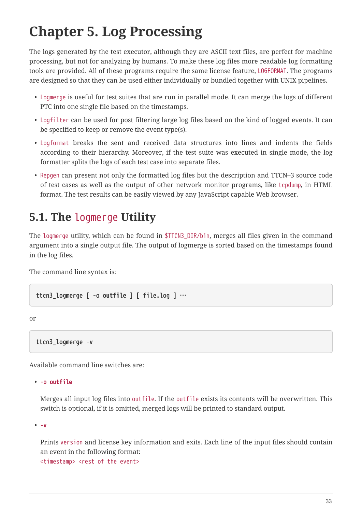# <span id="page-34-0"></span>**Chapter 5. Log Processing**

The logs generated by the test executor, although they are ASCII text files, are perfect for machine processing, but not for analyzing by humans. To make these log files more readable log formatting tools are provided. All of these programs require the same license feature, LOGFORMAT. The programs are designed so that they can be used either individually or bundled together with UNIX pipelines.

- Logmerge is useful for test suites that are run in parallel mode. It can merge the logs of different PTC into one single file based on the timestamps.
- Logfilter can be used for post filtering large log files based on the kind of logged events. It can be specified to keep or remove the event type(s).
- Logformat breaks the sent and received data structures into lines and indents the fields according to their hierarchy. Moreover, if the test suite was executed in single mode, the log formatter splits the logs of each test case into separate files.
- Repgen can present not only the formatted log files but the description and TTCN–3 source code of test cases as well as the output of other network monitor programs, like tcpdump, in HTML format. The test results can be easily viewed by any JavaScript capable Web browser.

## <span id="page-34-1"></span>**5.1. The** logmerge **Utility**

The logmerge utility, which can be found in \$TTCN3\_DIR/bin, merges all files given in the command argument into a single output file. The output of logmerge is sorted based on the timestamps found in the log files.

The command line syntax is:

**ttcn3\_logmerge [ -o** *outfile* **] [ file.log ] …**

or

**ttcn3\_logmerge -v**

Available command line switches are:

• **-o** *outfile*

Merges all input log files into outfile. If the outfile exists its contents will be overwritten. This switch is optional, if it is omitted, merged logs will be printed to standard output.

• **-v**

Prints version and license key information and exits. Each line of the input files should contain an event in the following format:

<timestamp> <rest of the event>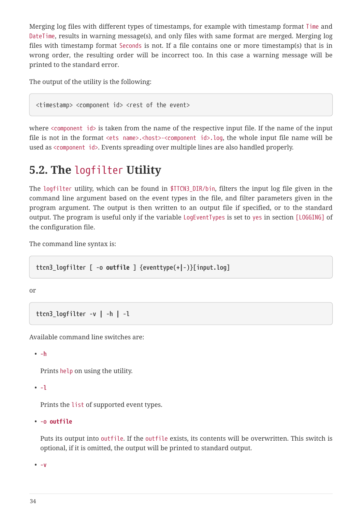Merging log files with different types of timestamps, for example with timestamp format Time and DateTime, results in warning message(s), and only files with same format are merged. Merging log files with timestamp format Seconds is not. If a file contains one or more timestamp(s) that is in wrong order, the resulting order will be incorrect too. In this case a warning message will be printed to the standard error.

The output of the utility is the following:

<timestamp> <component id> <rest of the event>

where <component id> is taken from the name of the respective input file. If the name of the input file is not in the format <ets name>.<host>-<component id>.log, the whole input file name will be used as <component id>. Events spreading over multiple lines are also handled properly.

## <span id="page-35-0"></span>**5.2. The** logfilter **Utility**

The logfilter utility, which can be found in \$TTCN3\_DIR/bin, filters the input log file given in the command line argument based on the event types in the file, and filter parameters given in the program argument. The output is then written to an output file if specified, or to the standard output. The program is useful only if the variable LogEventTypes is set to yes in section [LOGGING] of the configuration file.

The command line syntax is:

**ttcn3\_logfilter [ -o** *outfile* **] {eventtype(+***|***-)}[input.log]**

or

```
ttcn3_logfilter -v | -h | -l
```
Available command line switches are:

• **-h**

Prints help on using the utility.

```
• -l
```
Prints the list of supported event types.

• **-o** *outfile*

Puts its output into outfile. If the outfile exists, its contents will be overwritten. This switch is optional, if it is omitted, the output will be printed to standard output.

• **-v**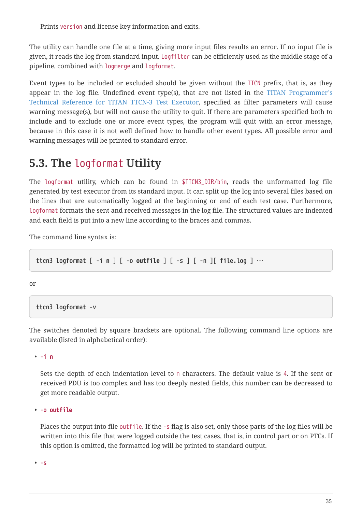Prints version and license key information and exits.

The utility can handle one file at a time, giving more input files results an error. If no input file is given, it reads the log from standard input. Logfilter can be efficiently used as the middle stage of a pipeline, combined with logmerge and logformat.

Event types to be included or excluded should be given without the TTCN prefix, that is, as they appear in the log file. Undefined event type(s), that are not listed in the [TITAN Programmer's](https://gitlab.eclipse.org/eclipse/titan/titan.core/tree/master/usrguide/referenceguide) [Technical Reference for TITAN TTCN-3 Test Executor,](https://gitlab.eclipse.org/eclipse/titan/titan.core/tree/master/usrguide/referenceguide) specified as filter parameters will cause warning message(s), but will not cause the utility to quit. If there are parameters specified both to include and to exclude one or more event types, the program will quit with an error message, because in this case it is not well defined how to handle other event types. All possible error and warning messages will be printed to standard error.

## <span id="page-36-0"></span>**5.3. The** logformat **Utility**

The logformat utility, which can be found in \$TTCN3\_DIR/bin, reads the unformatted log file generated by test executor from its standard input. It can split up the log into several files based on the lines that are automatically logged at the beginning or end of each test case. Furthermore, logformat formats the sent and received messages in the log file. The structured values are indented and each field is put into a new line according to the braces and commas.

The command line syntax is:

**ttcn3 logformat [ -i** *n* **] [ -o** *outfile* **] [ -s ] [ -n ][ file.log ] …**

or

**ttcn3 logformat -v**

The switches denoted by square brackets are optional. The following command line options are available (listed in alphabetical order):

• **-i** *n*

Sets the depth of each indentation level to *n* characters. The default value is *4*. If the sent or received PDU is too complex and has too deeply nested fields, this number can be decreased to get more readable output.

• **-o** *outfile*

Places the output into file outfile. If the -s flag is also set, only those parts of the log files will be written into this file that were logged outside the test cases, that is, in control part or on PTCs. If this option is omitted, the formatted log will be printed to standard output.

• **-s**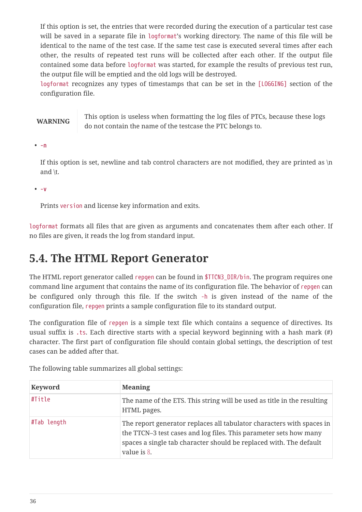If this option is set, the entries that were recorded during the execution of a particular test case will be saved in a separate file in logformat's working directory. The name of this file will be identical to the name of the test case. If the same test case is executed several times after each other, the results of repeated test runs will be collected after each other. If the output file contained some data before logformat was started, for example the results of previous test run, the output file will be emptied and the old logs will be destroyed.

logformat recognizes any types of timestamps that can be set in the [LOGGING] section of the configuration file.

**WARNING** This option is useless when formatting the log files of PTCs, because these logs do not contain the name of the testcase the PTC belongs to.

• **-n**

If this option is set, newline and tab control characters are not modified, they are printed as  $\ln$ and \t.

• **-v**

Prints version and license key information and exits.

logformat formats all files that are given as arguments and concatenates them after each other. If no files are given, it reads the log from standard input.

## <span id="page-37-0"></span>**5.4. The HTML Report Generator**

The HTML report generator called repgen can be found in \$TTCN3\_DIR/bin. The program requires one command line argument that contains the name of its configuration file. The behavior of repgen can be configured only through this file. If the switch -h is given instead of the name of the configuration file, repgen prints a sample configuration file to its standard output.

The configuration file of repgen is a simple text file which contains a sequence of directives. Its usual suffix is .ts. Each directive starts with a special keyword beginning with a hash mark (#) character. The first part of configuration file should contain global settings, the description of test cases can be added after that.

| Keyword     | <b>Meaning</b>                                                                                                                                                                                                                  |
|-------------|---------------------------------------------------------------------------------------------------------------------------------------------------------------------------------------------------------------------------------|
| #Title      | The name of the ETS. This string will be used as title in the resulting<br>HTML pages.                                                                                                                                          |
| #Tab length | The report generator replaces all tabulator characters with spaces in<br>the TTCN–3 test cases and log files. This parameter sets how many<br>spaces a single tab character should be replaced with. The default<br>value is 8. |

The following table summarizes all global settings: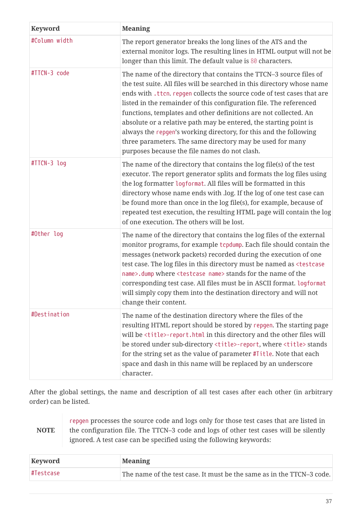| <b>Keyword</b> | <b>Meaning</b>                                                                                                                                                                                                                                                                                                                                                                                                                                                                                                                                                                                                             |
|----------------|----------------------------------------------------------------------------------------------------------------------------------------------------------------------------------------------------------------------------------------------------------------------------------------------------------------------------------------------------------------------------------------------------------------------------------------------------------------------------------------------------------------------------------------------------------------------------------------------------------------------------|
| #Column width  | The report generator breaks the long lines of the ATS and the<br>external monitor logs. The resulting lines in HTML output will not be<br>longer than this limit. The default value is 80 characters.                                                                                                                                                                                                                                                                                                                                                                                                                      |
| #TTCN-3 code   | The name of the directory that contains the TTCN-3 source files of<br>the test suite. All files will be searched in this directory whose name<br>ends with .ttcn. repgen collects the source code of test cases that are<br>listed in the remainder of this configuration file. The referenced<br>functions, templates and other definitions are not collected. An<br>absolute or a relative path may be entered, the starting point is<br>always the repgen's working directory, for this and the following<br>three parameters. The same directory may be used for many<br>purposes because the file names do not clash. |
| #TTCN-3 log    | The name of the directory that contains the log file(s) of the test<br>executor. The report generator splits and formats the log files using<br>the log formatter logformat. All files will be formatted in this<br>directory whose name ends with .log. If the log of one test case can<br>be found more than once in the log file(s), for example, because of<br>repeated test execution, the resulting HTML page will contain the log<br>of one execution. The others will be lost.                                                                                                                                     |
| #Other log     | The name of the directory that contains the log files of the external<br>monitor programs, for example tcpdump. Each file should contain the<br>messages (network packets) recorded during the execution of one<br>test case. The log files in this directory must be named as <testcase<br>name&gt;.dump where <testcase name=""> stands for the name of the<br/>corresponding test case. All files must be in ASCII format. logformat<br/>will simply copy them into the destination directory and will not<br/>change their content.</testcase></testcase<br>                                                           |
| #Destination   | The name of the destination directory where the files of the<br>resulting HTML report should be stored by repgen. The starting page<br>will be <title>-report.html in this directory and the other files will<br/>be stored under sub-directory <title>-report, where <title> stands<br/>for the string set as the value of parameter #Title. Note that each<br/>space and dash in this name will be replaced by an underscore<br/>character.</title></title></title>                                                                                                                                                      |

After the global settings, the name and description of all test cases after each other (in arbitrary order) can be listed.

|             | repgen processes the source code and logs only for those test cases that are listed in |
|-------------|----------------------------------------------------------------------------------------|
| <b>NOTE</b> | the configuration file. The TTCN-3 code and logs of other test cases will be silently  |
|             | ignored. A test case can be specified using the following keywords:                    |

| Keyword    | <b>Meaning</b>                                                        |
|------------|-----------------------------------------------------------------------|
| ∣#Testcase | The name of the test case. It must be the same as in the TTCN-3 code. |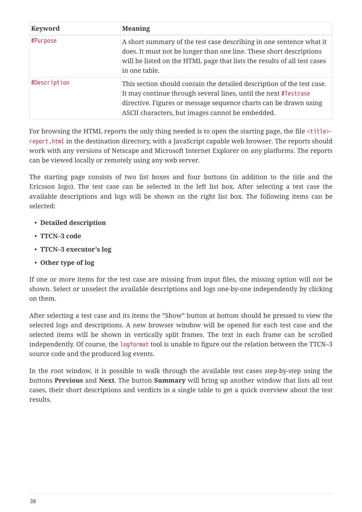| <b>Keyword</b> | <b>Meaning</b>                                                                                                                                                                                                                                                    |
|----------------|-------------------------------------------------------------------------------------------------------------------------------------------------------------------------------------------------------------------------------------------------------------------|
| #Purpose       | A short summary of the test case describing in one sentence what it<br>does. It must not be longer than one line. These short descriptions<br>will be listed on the HTML page that lists the results of all test cases<br>in one table.                           |
| #Description   | This section should contain the detailed description of the test case.<br>It may continue through several lines, until the next #Testcase<br>directive. Figures or message sequence charts can be drawn using<br>ASCII characters, but images cannot be embedded. |

For browsing the HTML reports the only thing needed is to open the starting page, the file <title> report.html in the destination directory, with a JavaScript capable web browser. The reports should work with any versions of Netscape and Microsoft Internet Explorer on any platforms. The reports can be viewed locally or remotely using any web server.

The starting page consists of two list boxes and four buttons (in addition to the title and the Ericsson logo). The test case can be selected in the left list box. After selecting a test case the available descriptions and logs will be shown on the right list box. The following items can be selected:

- **Detailed description**
- **TTCN–3 code**
- **TTCN–3 executor's log**
- **Other type of log**

If one or more items for the test case are missing from input files, the missing option will not be shown. Select or unselect the available descriptions and logs one-by-one independently by clicking on them.

After selecting a test case and its items the "Show" button at bottom should be pressed to view the selected logs and descriptions. A new browser window will be opened for each test case and the selected items will be shown in vertically split frames. The text in each frame can be scrolled independently. Of course, the logformat tool is unable to figure out the relation between the TTCN–3 source code and the produced log events.

In the root window, it is possible to walk through the available test cases step-by-step using the buttons **Previous** and **Next**. The button **Summary** will bring up another window that lists all test cases, their short descriptions and verdicts in a single table to get a quick overview about the test results.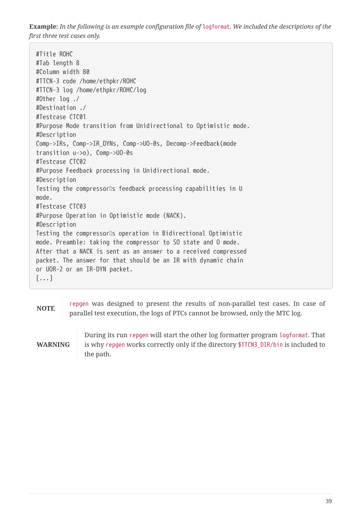**Example:** *In the following is an example configuration file of* logformat*. We included the descriptions of the first three test cases only.*

#Title ROHC #Tab length 8 #Column width 80 #TTCN-3 code /home/ethpkr/ROHC #TTCN-3 log /home/ethpkr/ROHC/log #Other log ./ #Destination ./ #Testcase CTC01 #Purpose Mode transition from Unidirectional to Optimistic mode. #Description Comp->IRs, Comp->IR\_DYNs, Comp->UO-0s, Decomp->Feedback(mode transition u->o), Comp->UO-0s #Testcase CTC02 #Purpose Feedback processing in Unidirectional mode. #Description Testing the compressor<sup>[]</sup>s feedback processing capabilities in U mode. #Testcase CTC03 #Purpose Operation in Optimistic mode (NACK). #Description Testing the compressor<sup>ns</sup> operation in Bidirectional Optimistic mode. Preamble: taking the compressor to SO state and O mode. After that a NACK is sent as an answer to a received compressed packet. The answer for that should be an IR with dynamic chain or UOR-2 or an IR-DYN packet. [...]

**NOTE** repgen was designed to present the results of non-parallel test cases. In case of parallel test execution, the logs of PTCs cannot be browsed, only the MTC log.

**WARNING**

During its run repgen will start the other log formatter program logformat. That is why repgen works correctly only if the directory \$TTCN3\_DIR/bin is included to the path.